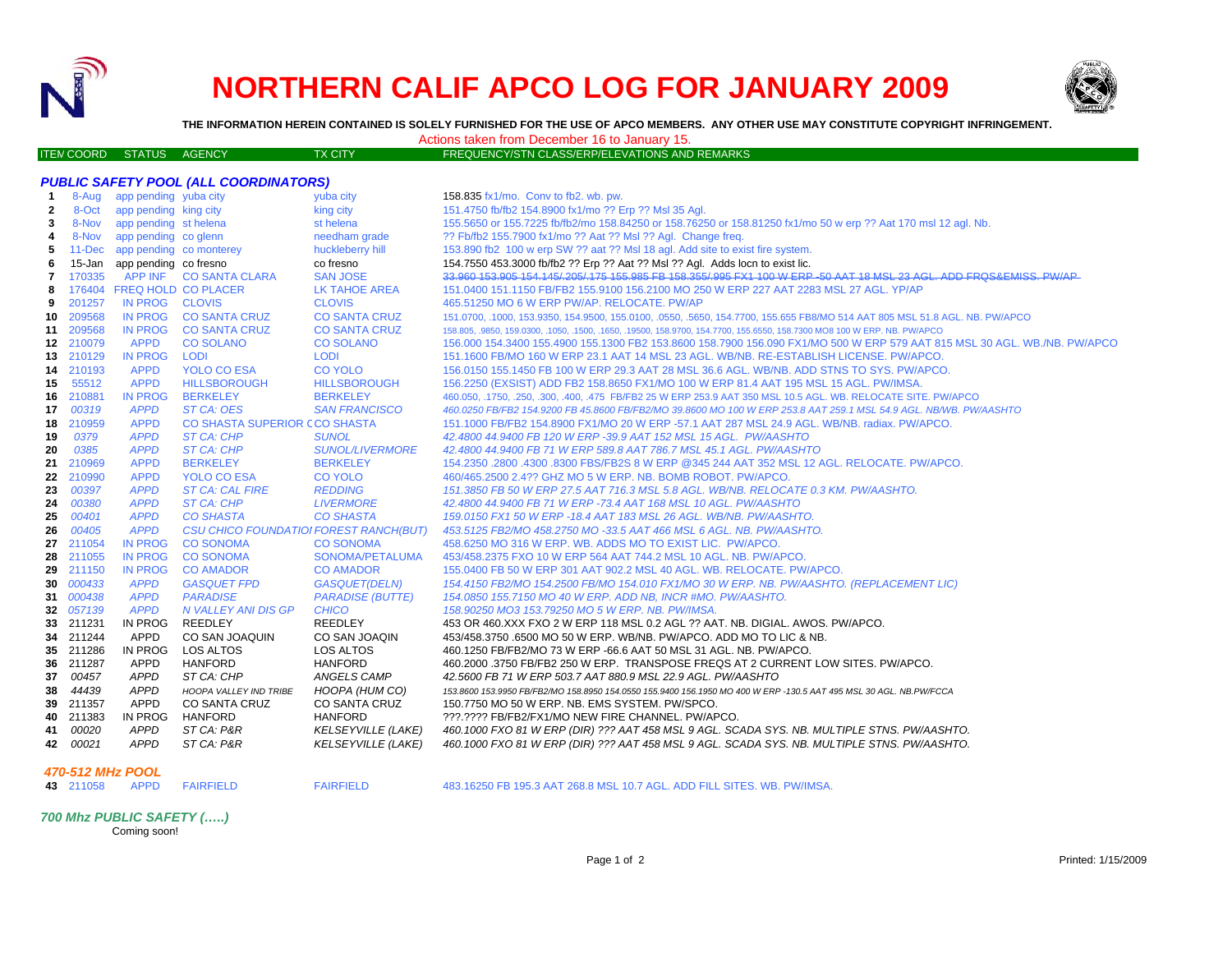

## **NORTHERN CALIF APCO LOG FOR JANUARY 2009**



**THE INFORMATION HEREIN CONTAINED IS SOLELY FURNISHED FOR THE USE OF APCO MEMBERS. ANY OTHER USE MAY CONSTITUTE COPYRIGHT INFRINGEMENT.**

Actions taken from December 16 to January 15.

| ושום שטוויט שוויה שופטש |  |  |
|-------------------------|--|--|
|                         |  |  |
|                         |  |  |

|                                 |  |                | AUDIO LANGH HUIH DEUCHIDEH TU LU JAHUATY TJ.          |  |
|---------------------------------|--|----------------|-------------------------------------------------------|--|
| <b>ITEN COORD STATUS AGENCY</b> |  | <b>TX CITY</b> | <b>FREQUENCY/STN CLASS/ERP/ELEVATIONS AND REMARKS</b> |  |

|    | <b>PUBLIC SAFETY POOL (ALL COORDINATORS)</b> |                                |                                        |                           |                                                                                                                             |
|----|----------------------------------------------|--------------------------------|----------------------------------------|---------------------------|-----------------------------------------------------------------------------------------------------------------------------|
| -1 |                                              | 8-Aug app pending yuba city    |                                        | yuba city                 | 158.835 fx1/mo. Conv to fb2. wb. pw.                                                                                        |
| 2  | 8-Oct                                        | app pending king city          |                                        | king city                 | 151.4750 fb/fb2 154.8900 fx1/mo ?? Erp ?? Msl 35 Agl.                                                                       |
| 3  |                                              | 8-Nov app pending st helena    |                                        | st helena                 | 155.5650 or 155.7225 fb/fb2/mo 158.84250 or 158.76250 or 158.81250 fx1/mo 50 w erp ?? Aat 170 msl 12 agl. Nb.               |
| 4  |                                              | 8-Nov app pending co glenn     |                                        | needham grade             | ?? Fb/fb2 155.7900 fx1/mo ?? Aat ?? Msl ?? Agl. Change freq.                                                                |
| 5  |                                              | 11-Dec app pending co monterey |                                        | huckleberry hill          | 153.890 fb2 100 w erp SW ?? aat ?? MsI 18 agl. Add site to exist fire system.                                               |
| 6  |                                              | 15-Jan app pending co fresno   |                                        | co fresno                 | 154.7550 453.3000 fb/fb2 ?? Erp ?? Aat ?? Msl ?? Agl. Adds locn to exist lic.                                               |
| 7  | 170335                                       |                                | APP INF CO SANTA CLARA                 | <b>SAN JOSE</b>           | 33,960 153,905 154,145/ 205/ 175 155,985 FB 158,355/ 995 FX1 100 W ERP -50 AAT 18 MSL 23 AGL, ADD FRQS&EMISS, PW/AP         |
| 8  |                                              |                                | 176404 FREQ HOLD CO PLACER             | LK TAHOE AREA             | 151.0400 151.1150 FB/FB2 155.9100 156.2100 MO 250 W ERP 227 AAT 2283 MSL 27 AGL. YP/AP                                      |
| 9  | 201257                                       | IN PROG CLOVIS                 |                                        | <b>CLOVIS</b>             | 465.51250 MO 6 W ERP PW/AP. RELOCATE. PW/AP                                                                                 |
| 10 | 209568                                       | <b>IN PROG</b>                 | <b>CO SANTA CRUZ</b>                   | <b>CO SANTA CRUZ</b>      | 151.0700, .1000, 153.9350, 154.9500, 155.0100, .0550, .5650, 154.7700, 155.655 FB8/MO 514 AAT 805 MSL 51.8 AGL. NB. PW/APCO |
|    | 11 209568                                    | <b>IN PROG</b>                 | <b>CO SANTA CRUZ</b>                   | <b>CO SANTA CRUZ</b>      | 158.805, .9850, 159.0300, .1050, .1500, .1650, .19500, 158.9700, 154.7700, 155.6550, 158.7300 MO8 100 W ERP. NB. PW/APCO    |
|    | 12 210079                                    | <b>APPD</b>                    | <b>CO SOLANO</b>                       | <b>CO SOLANO</b>          | 156.000 154.3400 155.4900 155.1300 FB2 153.8600 158.7900 156.090 FX1/MO 500 W ERP 579 AAT 815 MSL 30 AGL. WB./NB. PW/APCO   |
|    | 13 210129                                    | <b>IN PROG</b>                 | <b>LODI</b>                            | <b>LODI</b>               | 151.1600 FB/MO 160 W ERP 23.1 AAT 14 MSL 23 AGL. WB/NB. RE-ESTABLISH LICENSE. PW/APCO.                                      |
|    | 14 210193                                    | <b>APPD</b>                    | <b>YOLO CO ESA</b>                     | <b>CO YOLO</b>            | 156.0150 155.1450 FB 100 W ERP 29.3 AAT 28 MSL 36.6 AGL. WB/NB. ADD STNS TO SYS. PW/APCO.                                   |
| 15 | 55512                                        | <b>APPD</b>                    | <b>HILLSBOROUGH</b>                    | <b>HILLSBOROUGH</b>       | 156.2250 (EXSIST) ADD FB2 158.8650 FX1/MO 100 W ERP 81.4 AAT 195 MSL 15 AGL. PW/IMSA.                                       |
|    | 16 210881                                    | <b>IN PROG</b>                 | <b>BERKELEY</b>                        | <b>BERKELEY</b>           | 460.050, .1750, .250, .300, .400, .475 FB/FB2 25 W ERP 253.9 AAT 350 MSL 10.5 AGL. WB. RELOCATE SITE. PW/APCO               |
| 17 | 00319                                        | <b>APPD</b>                    | ST CA: OES                             | <b>SAN FRANCISCO</b>      | 460.0250 FB/FB2 154.9200 FB 45.8600 FB/FB2/MO 39.8600 MO 100 W ERP 253.8 AAT 259.1 MSL 54.9 AGL. NB/WB. PW/AASHTO           |
|    | 18 210959                                    | <b>APPD</b>                    | CO SHASTA SUPERIOR CCO SHASTA          |                           | 151.1000 FB/FB2 154.8900 FX1/MO 20 W ERP -57.1 AAT 287 MSL 24.9 AGL, WB/NB, radiax, PW/APCO,                                |
| 19 | 0379                                         | <b>APPD</b>                    | ST CA: CHP                             | <b>SUNOL</b>              | 42.4800 44.9400 FB 120 W ERP -39.9 AAT 152 MSL 15 AGL. PW/AASHTO                                                            |
| 20 | 0385                                         | <b>APPD</b>                    | ST CA: CHP                             | <b>SUNOL/LIVERMORE</b>    | 42.4800 44.9400 FB 71 W ERP 589.8 AAT 786.7 MSL 45.1 AGL. PW/AASHTO                                                         |
| 21 | 210969                                       | <b>APPD</b>                    | <b>BERKELEY</b>                        | <b>BERKELEY</b>           | 154.2350 .2800 .4300 .8300 FBS/FB2S 8 W ERP @345 244 AAT 352 MSL 12 AGL. RELOCATE. PW/APCO.                                 |
|    | 22 210990                                    | <b>APPD</b>                    | <b>YOLO CO ESA</b>                     | <b>CO YOLO</b>            | 460/465.2500 2.4?? GHZ MO 5 W ERP. NB. BOMB ROBOT, PW/APCO.                                                                 |
| 23 | 00397                                        | <b>APPD</b>                    | <b>ST CA: CAL FIRE</b>                 | <b>REDDING</b>            | 151.3850 FB 50 W ERP 27.5 AAT 716.3 MSL 5.8 AGL. WB/NB. RELOCATE 0.3 KM. PW/AASHTO.                                         |
| 24 | 00380                                        | <b>APPD</b>                    | ST CA: CHP                             | <b>LIVERMORE</b>          | 42.4800 44.9400 FB 71 W ERP -73.4 AAT 168 MSL 10 AGL. PW/AASHTO                                                             |
| 25 | 00401                                        | <b>APPD</b>                    | <b>CO SHASTA</b>                       | <b>CO SHASTA</b>          | 159.0150 FX1 50 W ERP -18.4 AAT 183 MSL 26 AGL. WB/NB. PW/AASHTO.                                                           |
| 26 | 00405                                        | <b>APPD</b>                    | CSU CHICO FOUNDATIOI FOREST RANCH(BUT) |                           | 453.5125 FB2/MO 458.2750 MO -33.5 AAT 466 MSL 6 AGL. NB. PW/AASHTO.                                                         |
|    | 27 211054                                    | <b>IN PROG</b>                 | <b>CO SONOMA</b>                       | <b>CO SONOMA</b>          | 458.6250 MO 316 W ERP. WB. ADDS MO TO EXIST LIC. PW/APCO.                                                                   |
| 28 | 211055                                       | <b>IN PROG</b>                 | <b>CO SONOMA</b>                       | SONOMA/PETALUMA           | 453/458.2375 FXO 10 W ERP 564 AAT 744.2 MSL 10 AGL. NB. PW/APCO.                                                            |
| 29 | 211150                                       | IN PROG                        | <b>CO AMADOR</b>                       | <b>CO AMADOR</b>          | 155.0400 FB 50 W ERP 301 AAT 902.2 MSL 40 AGL. WB. RELOCATE. PW/APCO.                                                       |
|    | 30 000433                                    | <b>APPD</b>                    | <b>GASQUET FPD</b>                     | <b>GASQUET(DELN)</b>      | 154.4150 FB2/MO 154.2500 FB/MO 154.010 FX1/MO 30 W ERP. NB. PW/AASHTO. (REPLACEMENT LIC)                                    |
|    | 31 000438                                    | <b>APPD</b>                    | <b>PARADISE</b>                        | <b>PARADISE (BUTTE)</b>   | 154.0850 155.7150 MO 40 W ERP. ADD NB, INCR #MO. PW/AASHTO.                                                                 |
|    | 32 057139                                    | <b>APPD</b>                    | N VALLEY ANI DIS GP                    | <b>CHICO</b>              | 158.90250 MO3 153.79250 MO 5 W ERP. NB. PW/IMSA.                                                                            |
|    | 33 211231                                    | IN PROG                        | REEDLEY                                | <b>REEDLEY</b>            | 453 OR 460.XXX FXO 2 W ERP 118 MSL 0.2 AGL ?? AAT. NB. DIGIAL. AWOS. PW/APCO.                                               |
|    | 34 211244                                    | <b>APPD</b>                    | CO SAN JOAQUIN                         | CO SAN JOAQIN             | 453/458.3750 .6500 MO 50 W ERP. WB/NB. PW/APCO. ADD MO TO LIC & NB.                                                         |
|    | 35 211286                                    | <b>IN PROG</b>                 | LOS ALTOS                              | LOS ALTOS                 | 460.1250 FB/FB2/MO 73 W ERP -66.6 AAT 50 MSL 31 AGL. NB. PW/APCO.                                                           |
|    | 36 211287                                    | <b>APPD</b>                    | <b>HANFORD</b>                         | <b>HANFORD</b>            | 460.2000.3750 FB/FB2 250 W ERP. TRANSPOSE FREQS AT 2 CURRENT LOW SITES. PW/APCO.                                            |
| 37 | 00457                                        | <b>APPD</b>                    | ST CA: CHP                             | ANGELS CAMP               | 42.5600 FB 71 W ERP 503.7 AAT 880.9 MSL 22.9 AGL. PW/AASHTO                                                                 |
| 38 | 44439                                        | <b>APPD</b>                    | HOOPA VALLEY IND TRIBE                 | HOOPA (HUM CO)            | 153.8600 153.9950 FB/FB2/MO 158.8950 154.0550 155.9400 156.1950 MO 400 W ERP -130.5 AAT 495 MSL 30 AGL. NB.PW/FCCA          |
|    | 39 211357                                    | <b>APPD</b>                    | CO SANTA CRUZ                          | CO SANTA CRUZ             | 150.7750 MO 50 W ERP. NB. EMS SYSTEM. PW/SPCO.                                                                              |
|    | 40 211383                                    | IN PROG                        | <b>HANFORD</b>                         | <b>HANFORD</b>            | ???.???? FB/FB2/FX1/MO NEW FIRE CHANNEL. PW/APCO.                                                                           |
| 41 | 00020                                        | APPD                           | ST CA: P&R                             | <b>KELSEYVILLE (LAKE)</b> | 460.1000 FXO 81 W ERP (DIR) ??? AAT 458 MSL 9 AGL. SCADA SYS. NB. MULTIPLE STNS. PW/AASHTO.                                 |
| 42 | 00021                                        | <b>APPD</b>                    | ST CA: P&R                             | <b>KELSEYVILLE (LAKE)</b> | 460.1000 FXO 81 W ERP (DIR) ??? AAT 458 MSL 9 AGL. SCADA SYS. NB. MULTIPLE STNS. PW/AASHTO.                                 |

## *470-512 MHz POOL*

**43**

211058 APPD FAIRFIELD FAIRFIELD 483.16250 FB 195.3 AAT 268.8 MSL 10.7 AGL. ADD FILL SITES. WB. PW/IMSA.

*700 Mhz PUBLIC SAFETY (…..)* Coming soon!